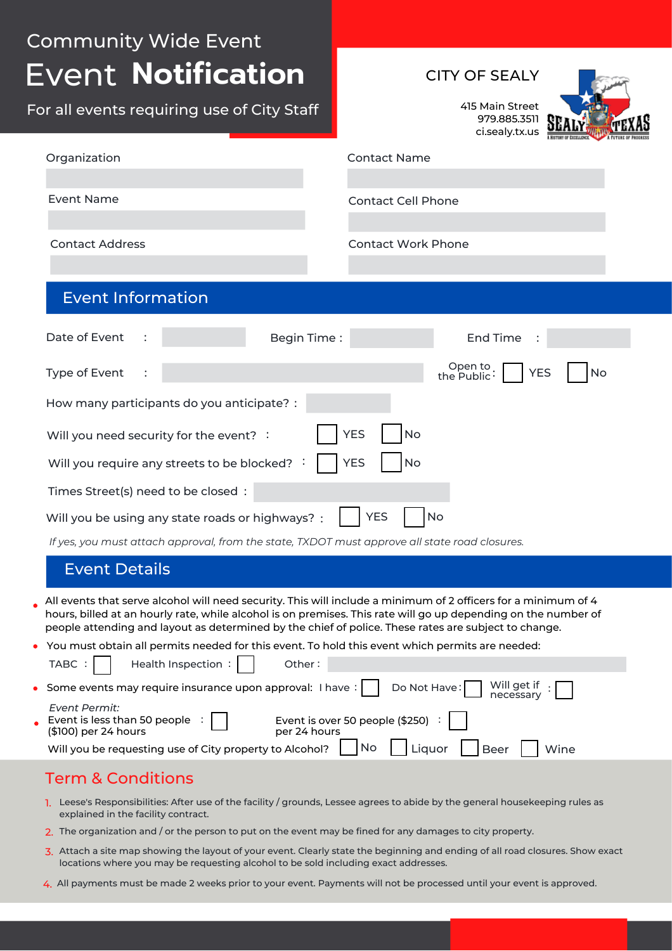### Event **Notification** Community Wide Event CITY OF SEALY 415 Main Street 979.885.3511 ci.sealy.tx.us Event Information Date of Event Type of Event Will you need security for the event? : How many participants do you anticipate? : Will you require any streets to be blocked? : Times Street(s) need to be closed : Open to the Public YES No : Will you be using any state roads or highways? : Organization : : Begin Time : End Time Event Name Contact Name Contact Cell Phone Contact Address Contact Work Phone YES | No YES | No YES | No For all events requiring use of City Staff

*If yes, you must attach approval, from the state, TXDOT must approve all state road closures.*

#### Event Details

- All events that serve alcohol will need security. This will include a minimum of 2 officers for a minimum of 4 hours, billed at an hourly rate, while alcohol is on premises. This rate will go up depending on the number of people attending and layout as determined by the chief of police. These rates are subject to change.
- You must obtain all permits needed for this event. To hold this event which permits are needed:

| TABC :     Health Inspection :  <br>Other:                                                                                                                                              |
|-----------------------------------------------------------------------------------------------------------------------------------------------------------------------------------------|
| $\Box$ Do Not Have: Will get if :<br>• Some events may require insurance upon approval: I have:                                                                                         |
| Event Permit:<br>Event is over 50 people (\$250) $\left  \right $<br>Event is less than 50 people $\left  \begin{array}{c} \end{array} \right $<br>(\$100) per 24 hours<br>per 24 hours |
| <b>No</b><br>Beer<br>Liquor  <br>Will you be requesting use of City property to Alcohol?<br>Wine                                                                                        |

## Term & Conditions

- 1. Leese's Responsibilities: After use of the facility / grounds, Lessee agrees to abide by the general housekeeping rules as explained in the facility contract.
- 2. The organization and / or the person to put on the event may be fined for any damages to city property.
- 3. Attach a site map showing the layout of your event. Clearly state the beginning and ending of all road closures. Show exact locations where you may be requesting alcohol to be sold including exact addresses.
- 4. All payments must be made 2 weeks prior to your event. Payments will not be processed until your event is approved.